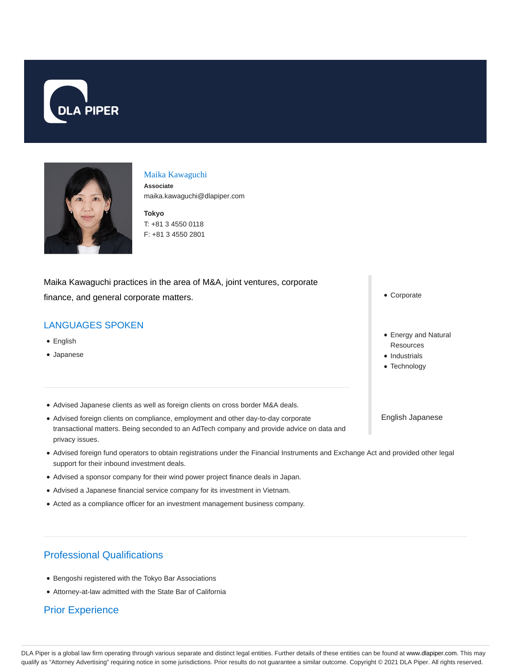



#### Maika Kawaguchi

**Associate** maika.kawaguchi@dlapiper.com

**Tokyo** T: +81 3 4550 0118 F: +81 3 4550 2801

Maika Kawaguchi practices in the area of M&A, joint ventures, corporate finance, and general corporate matters.

### LANGUAGES SPOKEN

- English
- Japanese
- Advised Japanese clients as well as foreign clients on cross border M&A deals.
- Advised foreign clients on compliance, employment and other day-to-day corporate transactional matters. Being seconded to an AdTech company and provide advice on data and privacy issues.
- Advised foreign fund operators to obtain registrations under the Financial Instruments and Exchange Act and provided other legal support for their inbound investment deals.
- Advised a sponsor company for their wind power project finance deals in Japan.
- Advised a Japanese financial service company for its investment in Vietnam.
- Acted as a compliance officer for an investment management business company.

# Professional Qualifications

- Bengoshi registered with the Tokyo Bar Associations
- Attorney-at-law admitted with the State Bar of California

## Prior Experience

Corporate

- Energy and Natural **Resources**
- Industrials
- Technology

English Japanese